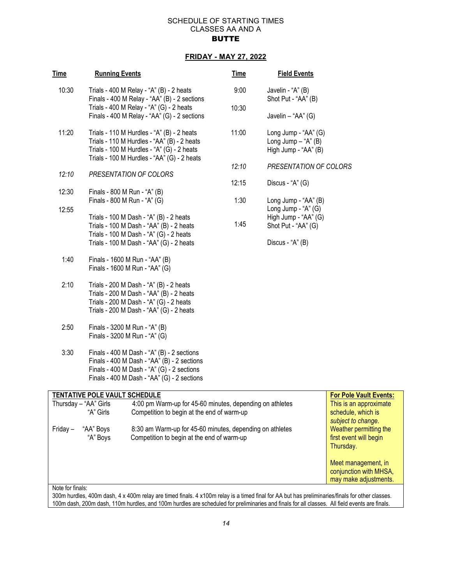## SCHEDULE OF STARTING TIMES CLASSES AA AND A **BUTTE**

## **FRIDAY - MAY 27, 2022**

| Time     | <b>Running Events</b>                                                                                                                        |                                                                                                                                                                                        | <b>Time</b> | <b>Field Events</b>                                                                 |                                              |
|----------|----------------------------------------------------------------------------------------------------------------------------------------------|----------------------------------------------------------------------------------------------------------------------------------------------------------------------------------------|-------------|-------------------------------------------------------------------------------------|----------------------------------------------|
| 10:30    |                                                                                                                                              | Trials - 400 M Relay - "A" (B) - 2 heats<br>Finals - 400 M Relay - "AA" (B) - 2 sections                                                                                               | 9:00        | Javelin - "A" (B)<br>Shot Put - "AA" (B)                                            |                                              |
|          |                                                                                                                                              | Trials - 400 M Relay - "A" (G) - 2 heats<br>Finals - 400 M Relay - "AA" (G) - 2 sections                                                                                               | 10:30       | Javelin - "AA" (G)                                                                  |                                              |
| 11:20    |                                                                                                                                              | Trials - 110 M Hurdles - "A" (B) - 2 heats<br>Trials - 110 M Hurdles - "AA" (B) - 2 heats<br>Trials - 100 M Hurdles - "A" (G) - 2 heats<br>Trials - 100 M Hurdles - "AA" (G) - 2 heats | 11:00       | Long Jump - "AA" (G)<br>Long Jump $-$ "A" (B)<br>High Jump - "AA" (B)               |                                              |
|          |                                                                                                                                              |                                                                                                                                                                                        | 12:10       | PRESENTATION OF COLORS                                                              |                                              |
| 12:10    |                                                                                                                                              | PRESENTATION OF COLORS                                                                                                                                                                 | 12:15       | Discus - "A" (G)                                                                    |                                              |
| 12:30    |                                                                                                                                              | Finals - 800 M Run - "A" (B)<br>Finals - 800 M Run - "A" (G)                                                                                                                           | 1:30        | Long Jump - "AA" (B)                                                                |                                              |
| 12:55    |                                                                                                                                              | Trials - 100 M Dash - "A" (B) - 2 heats<br>Trials - 100 M Dash - "AA" (B) - 2 heats<br>Trials - 100 M Dash - "A" (G) - 2 heats                                                         | 1:45        | Long Jump - "A" (G)<br>High Jump - "AA" (G)<br>Shot Put - "AA" (G)                  |                                              |
|          |                                                                                                                                              | Trials - 100 M Dash - "AA" (G) - 2 heats                                                                                                                                               |             | Discus - "A" (B)                                                                    |                                              |
| 1:40     |                                                                                                                                              | Finals - 1600 M Run - "AA" (B)<br>Finals - 1600 M Run - "AA" (G)                                                                                                                       |             |                                                                                     |                                              |
| 2:10     |                                                                                                                                              | Trials - 200 M Dash - "A" (B) - 2 heats<br>Trials - 200 M Dash - "AA" (B) - 2 heats<br>Trials - 200 M Dash - "A" (G) - 2 heats<br>Trials - 200 M Dash - "AA" (G) - 2 heats             |             |                                                                                     |                                              |
| 2:50     |                                                                                                                                              | Finals - 3200 M Run - "A" (B)<br>Finals - 3200 M Run - "A" (G)                                                                                                                         |             |                                                                                     |                                              |
| 3:30     |                                                                                                                                              | Finals - 400 M Dash - "A" (B) - 2 sections<br>Finals - 400 M Dash - "AA" (B) - 2 sections<br>Finals - 400 M Dash - "A" (G) - 2 sections<br>Finals - 400 M Dash - "AA" (G) - 2 sections |             |                                                                                     |                                              |
|          | <b>TENTATIVE POLE VAULT SCHEDULE</b>                                                                                                         |                                                                                                                                                                                        |             |                                                                                     | <b>For Pole Vault Events:</b>                |
|          | Thursday - "AA" Girls<br>4:00 pm Warm-up for 45-60 minutes, depending on athletes<br>"A" Girls<br>Competition to begin at the end of warm-up |                                                                                                                                                                                        |             |                                                                                     | This is an approximate<br>schedule, which is |
| Friday – | "AA" Boys<br>"A" Boys                                                                                                                        | 8:30 am Warm-up for 45-60 minutes, depending on athletes<br>Competition to begin at the end of warm-up                                                                                 |             | subject to change.<br>Weather permitting the<br>first event will begin<br>Thursday. |                                              |
|          |                                                                                                                                              |                                                                                                                                                                                        |             |                                                                                     | Meet management, in                          |

Note for finals:

300m hurdles, 400m dash, 4 x 400m relay are timed finals. 4 x100m relay is a timed final for AA but has preliminaries/finals for other classes. 100m dash, 200m dash, 110m hurdles, and 100m hurdles are scheduled for preliminaries and finals for all classes. All field events are finals.

conjunction with MHSA, may make adjustments.